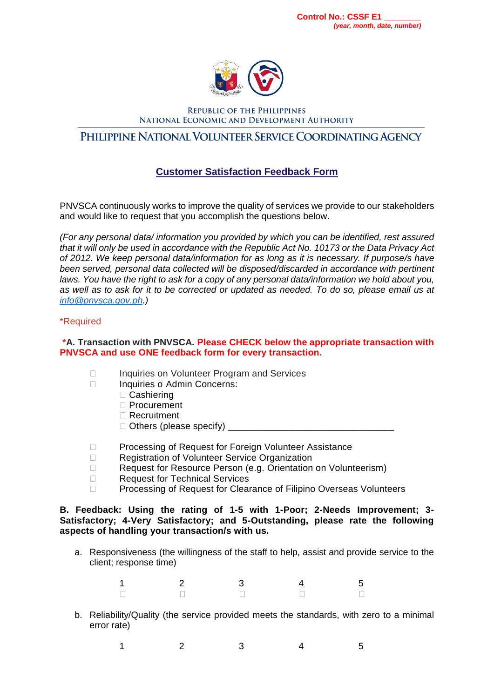

**REPUBLIC OF THE PHILIPPINES** NATIONAL ECONOMIC AND DEVELOPMENT AUTHORITY

# PHILIPPINE NATIONAL VOLUNTEER SERVICE COORDINATING AGENCY

# **Customer Satisfaction Feedback Form**

PNVSCA continuously works to improve the quality of services we provide to our stakeholders and would like to request that you accomplish the questions below.

*(For any personal data/ information you provided by which you can be identified, rest assured that it will only be used in accordance with the Republic Act No. 10173 or the Data Privacy Act of 2012. We keep personal data/information for as long as it is necessary. If purpose/s have been served, personal data collected will be disposed/discarded in accordance with pertinent laws. You have the right to ask for a copy of any personal data/information we hold about you, as well as to ask for it to be corrected or updated as needed. To do so, please email us at [info@pnvsca.gov.ph.](mailto:info@pnvsca.gov.ph))*

### \*Required

### **\*A. Transaction with PNVSCA. Please CHECK below the appropriate transaction with PNVSCA and use ONE feedback form for every transaction.**

- □ Inquiries on Volunteer Program and Services
- □ Inquiries o Admin Concerns:
	- □ Cashiering
	- Procurement
	- □ Recruitment
	- Others (please specify) \_\_\_\_\_\_\_\_\_\_\_\_\_\_\_\_\_\_\_\_\_\_\_\_\_\_\_\_\_\_\_\_
- □ Processing of Request for Foreign Volunteer Assistance
- □ Registration of Volunteer Service Organization
- □ Request for Resource Person (e.g. Orientation on Volunteerism)
- □ Request for Technical Services
- □ Processing of Request for Clearance of Filipino Overseas Volunteers

#### **B. Feedback: Using the rating of 1-5 with 1-Poor; 2-Needs Improvement; 3- Satisfactory; 4-Very Satisfactory; and 5-Outstanding, please rate the following aspects of handling your transaction/s with us.**

a. Responsiveness (the willingness of the staff to help, assist and provide service to the client; response time)

| 1                        |  | $\overline{\phantom{0}}$ |
|--------------------------|--|--------------------------|
| $\overline{\phantom{0}}$ |  | $\overline{\phantom{a}}$ |

- b. Reliability/Quality (the service provided meets the standards, with zero to a minimal error rate)
	- 1 2 3 4 5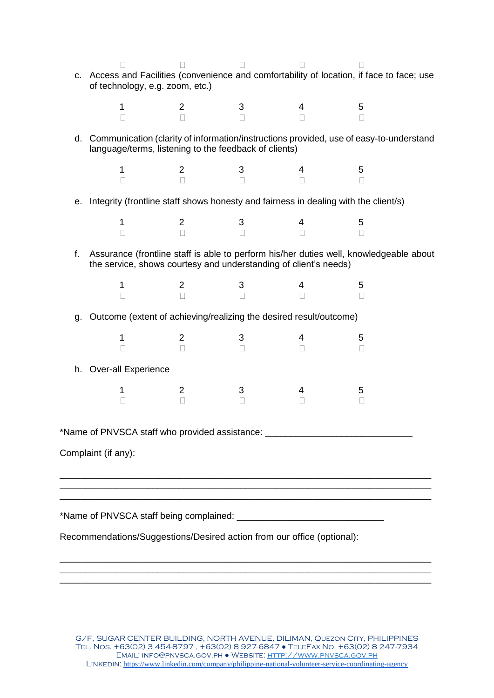|                                                                                  | $\Box$<br>c. Access and Facilities (convenience and comfortability of location, if face to face; use<br>of technology, e.g. zoom, etc.)                    |                                  | $\Box$                 | $\Box$                   |             |  |  |  |  |
|----------------------------------------------------------------------------------|------------------------------------------------------------------------------------------------------------------------------------------------------------|----------------------------------|------------------------|--------------------------|-------------|--|--|--|--|
|                                                                                  | $\mathbf{1}$<br>$\Box$                                                                                                                                     | $\overline{2}$<br>$\Box$         | $\mathbf{3}$<br>$\Box$ | $\overline{4}$<br>$\Box$ | 5<br>$\Box$ |  |  |  |  |
|                                                                                  | d. Communication (clarity of information/instructions provided, use of easy-to-understand<br>language/terms, listening to the feedback of clients)         |                                  |                        |                          |             |  |  |  |  |
|                                                                                  | 1<br>П                                                                                                                                                     | 2<br>П                           | 3<br>$\Box$            | 4<br>П                   | 5<br>П      |  |  |  |  |
|                                                                                  | e. Integrity (frontline staff shows honesty and fairness in dealing with the client/s)                                                                     |                                  |                        |                          |             |  |  |  |  |
|                                                                                  | $\mathbf{1}$<br>П                                                                                                                                          | $\overline{2}$<br>$\Box$         | 3<br>$\Box$            | $\overline{4}$<br>$\Box$ | 5<br>$\Box$ |  |  |  |  |
| $f_{\perp}$                                                                      | Assurance (frontline staff is able to perform his/her duties well, knowledgeable about<br>the service, shows courtesy and understanding of client's needs) |                                  |                        |                          |             |  |  |  |  |
|                                                                                  | $\mathbf{1}$<br>$\Box$<br>П                                                                                                                                | $\overline{2}$<br>$\overline{3}$ | 3                      | 4<br>$\Box$              | 5<br>П      |  |  |  |  |
|                                                                                  | g. Outcome (extent of achieving/realizing the desired result/outcome)                                                                                      |                                  |                        |                          |             |  |  |  |  |
|                                                                                  | 1<br>П                                                                                                                                                     | 2<br>$\Box$                      | 3<br>П                 | 4<br>П                   | 5<br>$\Box$ |  |  |  |  |
|                                                                                  | h. Over-all Experience                                                                                                                                     |                                  |                        |                          |             |  |  |  |  |
|                                                                                  | 1<br>П                                                                                                                                                     | $\overline{2}$<br>П              | 3<br>П                 | 4<br>П                   | 5<br>П      |  |  |  |  |
| *Name of PNVSCA staff who provided assistance: _________________________________ |                                                                                                                                                            |                                  |                        |                          |             |  |  |  |  |
| Complaint (if any):                                                              |                                                                                                                                                            |                                  |                        |                          |             |  |  |  |  |

\*Name of PNVSCA staff being complained: \_\_\_\_\_\_\_\_\_\_\_\_\_\_\_\_\_\_\_\_\_\_\_\_\_\_\_\_\_

Recommendations/Suggestions/Desired action from our office (optional):

G/F, SUGAR CENTER BUILDING, NORTH AVENUE, DILIMAN, Quezon City, PHILIPPINES Tel. Nos. +63(02) 3 454-8797 , +63(02) 8 927-6847 ● TeleFax No. +63(02) 8 247-7934 Email: info@pnvsca.gov.ph ● Website[: http://www.pnvsca.gov.ph](http://www.pnvsca.gov.ph/) LINKEDIN: https://www.linkedin.com/company/philippine-national-volunteer-service-coordinating-agency

\_\_\_\_\_\_\_\_\_\_\_\_\_\_\_\_\_\_\_\_\_\_\_\_\_\_\_\_\_\_\_\_\_\_\_\_\_\_\_\_\_\_\_\_\_\_\_\_\_\_\_\_\_\_\_\_\_\_\_\_\_\_\_\_\_\_\_\_\_\_\_\_

\_\_\_\_\_\_\_\_\_\_\_\_\_\_\_\_\_\_\_\_\_\_\_\_\_\_\_\_\_\_\_\_\_\_\_\_\_\_\_\_\_\_\_\_\_\_\_\_\_\_\_\_\_\_\_\_\_\_\_\_\_\_\_\_\_\_\_\_\_\_\_\_ \_\_\_\_\_\_\_\_\_\_\_\_\_\_\_\_\_\_\_\_\_\_\_\_\_\_\_\_\_\_\_\_\_\_\_\_\_\_\_\_\_\_\_\_\_\_\_\_\_\_\_\_\_\_\_\_\_\_\_\_\_\_\_\_\_\_\_\_\_\_\_\_ \_\_\_\_\_\_\_\_\_\_\_\_\_\_\_\_\_\_\_\_\_\_\_\_\_\_\_\_\_\_\_\_\_\_\_\_\_\_\_\_\_\_\_\_\_\_\_\_\_\_\_\_\_\_\_\_\_\_\_\_\_\_\_\_\_\_\_\_\_\_\_\_